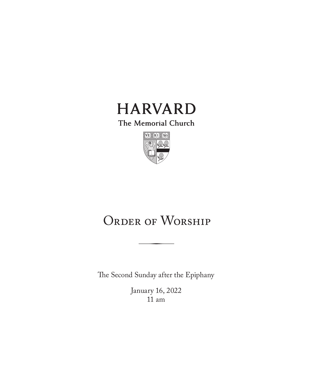

The Memorial Church



## ORDER OF WORSHIP

The Second Sunday after the Epiphany

January 16, 2022 11 am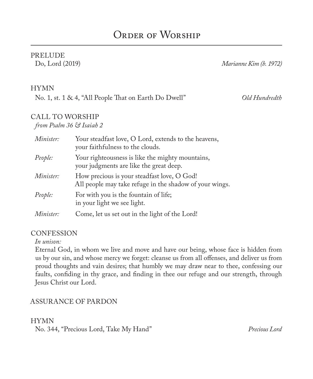# PRELUDE<br>Do, Lord (2019)

*Marianne Kim (b. 1972)* 

#### HYMN

No. 1, st. 1 & 4, "All People That on Earth Do Dwell" *Old Hundredth*

## CALL TO WORSHIP

*from Psalm 36 & Isaiah 2*

| <i>Minister:</i> | Your steadfast love, O Lord, extends to the heavens,<br>your faithfulness to the clouds.               |
|------------------|--------------------------------------------------------------------------------------------------------|
| People:          | Your righteousness is like the mighty mountains,<br>your judgments are like the great deep.            |
| Minister:        | How precious is your steadfast love, O God!<br>All people may take refuge in the shadow of your wings. |
| People:          | For with you is the fountain of life;<br>in your light we see light.                                   |
| <i>Minister:</i> | Come, let us set out in the light of the Lord!                                                         |

#### **CONFESSION**

*In unison:*

Eternal God, in whom we live and move and have our being, whose face is hidden from us by our sin, and whose mercy we forget: cleanse us from all offenses, and deliver us from proud thoughts and vain desires; that humbly we may draw near to thee, confessing our faults, confiding in thy grace, and finding in thee our refuge and our strength, through Jesus Christ our Lord.

## ASSURANCE OF PARDON

## HYMN

No. 344, "Precious Lord, Take My Hand" *Precious Lord*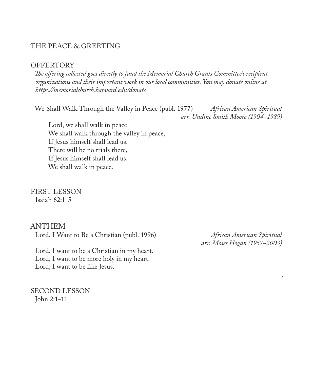#### THE PEACE & GREETING

#### **OFFERTORY**

*The offering collected goes directly to fund the Memorial Church Grants Committee's recipient organizations and their important work in our local communities. You may donate online at https://memorialchurch.harvard.edu/donate* 

We Shall Walk Through the Valley in Peace (publ. 1977) *African American Spiritual arr. Undine Smith Moore (1904–1989)*

Lord, we shall walk in peace. We shall walk through the valley in peace, If Jesus himself shall lead us. There will be no trials there, If Jesus himself shall lead us. We shall walk in peace.

FIRST LESSON Isaiah 62:1–5

ANTHEM Lord, I Want to Be a Christian (publ. 1996) *African American Spiritual* 

Lord, I want to be a Christian in my heart. Lord, I want to be more holy in my heart. Lord, I want to be like Jesus.

*arr. Moses Hogan (1957–2003)*

*.*

SECOND LESSON John 2:1–11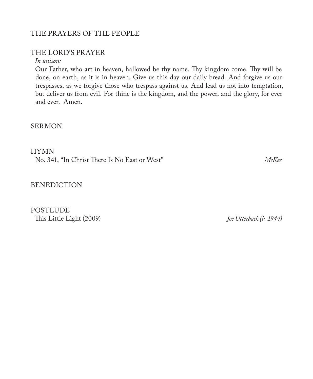### THE PRAYERS OF THE PEOPLE

#### THE LORD'S PRAYER

*In unison:*

Our Father, who art in heaven, hallowed be thy name. Thy kingdom come. Thy will be done, on earth, as it is in heaven. Give us this day our daily bread. And forgive us our trespasses, as we forgive those who trespass against us. And lead us not into temptation, but deliver us from evil. For thine is the kingdom, and the power, and the glory, for ever and ever. Amen.

**SERMON** 

#### HYMN

No. 341, "In Christ There Is No East or West" *McKee*

#### **BENEDICTION**

POSTLUDE This Little Light (2009) *Joe Utterback (b. 1944)*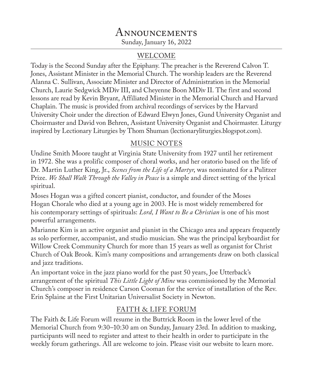## Announcements

Sunday, January 16, 2022

## WELCOME

Today is the Second Sunday after the Epiphany. The preacher is the Reverend Calvon T. Jones, Assistant Minister in the Memorial Church. The worship leaders are the Reverend Alanna C. Sullivan, Associate Minister and Director of Administration in the Memorial Church, Laurie Sedgwick MDiv III, and Cheyenne Boon MDiv II. The first and second lessons are read by Kevin Bryant, Affiliated Minister in the Memorial Church and Harvard Chaplain. The music is provided from archival recordings of services by the Harvard University Choir under the direction of Edward Elwyn Jones, Gund University Organist and Choirmaster and David von Behren, Assistant University Organist and Choirmaster. Liturgy inspired by Lectionary Liturgies by Thom Shuman (lectionaryliturgies.blogspot.com).

## MUSIC NOTES

Undine Smith Moore taught at Virginia State University from 1927 until her retirement in 1972. She was a prolific composer of choral works, and her oratorio based on the life of Dr. Martin Luther King, Jr., *Scenes from the Life of a Martyr*, was nominated for a Pulitzer Prize. *We Shall Walk Through the Valley in Peace* is a simple and direct setting of the lyrical spiritual.

Moses Hogan was a gifted concert pianist, conductor, and founder of the Moses Hogan Chorale who died at a young age in 2003. He is most widely remembered for his contemporary settings of spirituals: *Lord, I Want to Be a Christian* is one of his most powerful arrangements.

Marianne Kim is an active organist and pianist in the Chicago area and appears frequently as solo performer, accompanist, and studio musician. She was the principal keyboardist for Willow Creek Community Church for more than 15 years as well as organist for Christ Church of Oak Brook. Kim's many compositions and arrangements draw on both classical and jazz traditions.

An important voice in the jazz piano world for the past 50 years, Joe Utterback's arrangement of the spiritual *This Little Light of Mine* was commissioned by the Memorial Church's composer in residence Carson Cooman for the service of installation of the Rev. Erin Splaine at the First Unitarian Universalist Society in Newton.

## FAITH & LIFE FORUM

The Faith & Life Forum will resume in the Buttrick Room in the lower level of the Memorial Church from 9:30–10:30 am on Sunday, January 23rd. In addition to masking, participants will need to register and attest to their health in order to participate in the weekly forum gatherings. All are welcome to join. Please visit our website to learn more.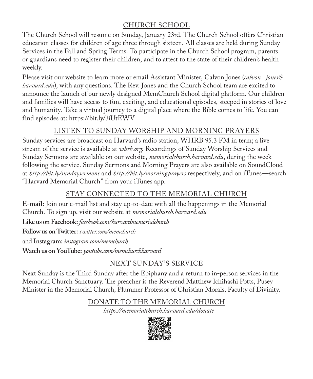## CHURCH SCHOOL

The Church School will resume on Sunday, January 23rd. The Church School offers Christian education classes for children of age three through sixteen. All classes are held during Sunday Services in the Fall and Spring Terms. To participate in the Church School program, parents or guardians need to register their children, and to attest to the state of their children's health weekly.

Please visit our website to learn more or email Assistant Minister, Calvon Jones (*calvon\_ jones@ harvard.edu*), with any questions. The Rev. Jones and the Church School team are excited to announce the launch of our newly designed MemChurch School digital platform. Our children and families will have access to fun, exciting, and educational episodes, steeped in stories of love and humanity. Take a virtual journey to a digital place where the Bible comes to life. You can find episodes at: https://bit.ly/3iUtEWV

## LISTEN TO SUNDAY WORSHIP AND MORNING PRAYERS

Sunday services are broadcast on Harvard's radio station, WHRB 95.3 FM in term; a live stream of the service is available at *whrb.org*. Recordings of Sunday Worship Services and Sunday Sermons are available on our website, *memorialchurch.harvard.edu*, during the week following the service. Sunday Sermons and Morning Prayers are also available on SoundCloud at *http://bit.ly/sundaysermons* and *http://bit.ly/morningprayers* respectively, and on iTunes—search "Harvard Memorial Church" from your iTunes app.

## STAY CONNECTED TO THE MEMORIAL CHURCH

**E-mail:** Join our e-mail list and stay up-to-date with all the happenings in the Memorial Church. To sign up, visit our website at *memorialchurch.harvard.edu*

**Like us on Facebook:** *facebook.com/harvardmemorialchurch*

**Follow us on Twitter:** *twitter.com/memchurch*

and **Instagram:** *instagram.com/memchurch*

**Watch us on YouTube:** *youtube.com/memchurchharvard*

## NEXT SUNDAY'S SERVICE

Next Sunday is the Third Sunday after the Epiphany and a return to in-person services in the Memorial Church Sanctuary. The preacher is the Reverend Matthew Ichihashi Potts, Pusey Minister in the Memorial Church, Plummer Professor of Christian Morals, Faculty of Divinity.

DONATE TO THE MEMORIAL CHURCH

*https://memorialchurch.harvard.edu/donate*

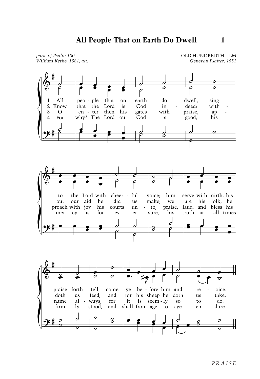

1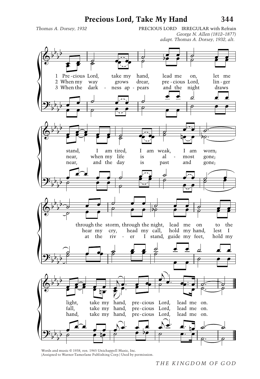#### Precious Lord, Take My Hand **344**

*Thomas A. Dorsey, 1932*

PRECIOUS LORD IRREGULAR with Refrain *George N. Allen (1812–1877) adapt. Thomas A. Dorsey, 1932, alt.* 



Words and music © 1938, ren. 1965 Unichappell Music, Inc. (Assigned to Warner-Tamerlane Publishing Corp.) Used by permission.